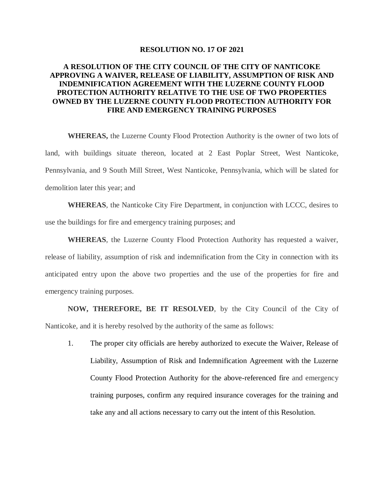## **RESOLUTION NO. 17 OF 2021**

## **A RESOLUTION OF THE CITY COUNCIL OF THE CITY OF NANTICOKE APPROVING A WAIVER, RELEASE OF LIABILITY, ASSUMPTION OF RISK AND INDEMNIFICATION AGREEMENT WITH THE LUZERNE COUNTY FLOOD PROTECTION AUTHORITY RELATIVE TO THE USE OF TWO PROPERTIES OWNED BY THE LUZERNE COUNTY FLOOD PROTECTION AUTHORITY FOR FIRE AND EMERGENCY TRAINING PURPOSES**

**WHEREAS,** the Luzerne County Flood Protection Authority is the owner of two lots of land, with buildings situate thereon, located at 2 East Poplar Street, West Nanticoke, Pennsylvania, and 9 South Mill Street, West Nanticoke, Pennsylvania, which will be slated for demolition later this year; and

**WHEREAS**, the Nanticoke City Fire Department, in conjunction with LCCC, desires to use the buildings for fire and emergency training purposes; and

**WHEREAS**, the Luzerne County Flood Protection Authority has requested a waiver, release of liability, assumption of risk and indemnification from the City in connection with its anticipated entry upon the above two properties and the use of the properties for fire and emergency training purposes.

**NOW, THEREFORE, BE IT RESOLVED**, by the City Council of the City of Nanticoke, and it is hereby resolved by the authority of the same as follows:

1. The proper city officials are hereby authorized to execute the Waiver, Release of Liability, Assumption of Risk and Indemnification Agreement with the Luzerne County Flood Protection Authority for the above-referenced fire and emergency training purposes, confirm any required insurance coverages for the training and take any and all actions necessary to carry out the intent of this Resolution.